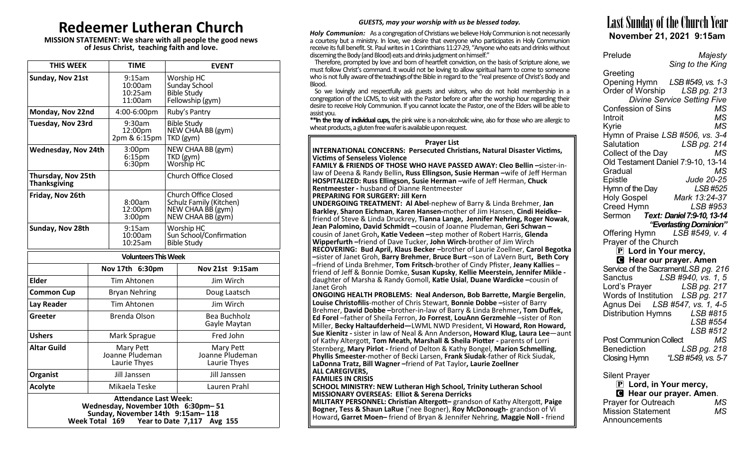# **Redeemer Lutheran Church**

**MISSION STATEMENT: We share with all people the good news of Jesus Christ, teaching faith and love.**

| <b>THIS WEEK</b>                                                                                                                                    |                                              | <b>TIME</b>                                                    |                              | <b>EVENT</b>                                                                                     |                                              |  |
|-----------------------------------------------------------------------------------------------------------------------------------------------------|----------------------------------------------|----------------------------------------------------------------|------------------------------|--------------------------------------------------------------------------------------------------|----------------------------------------------|--|
| Sunday, Nov 21st                                                                                                                                    |                                              | $9:15$ am<br>10:00am<br>10:25am<br>11:00am                     |                              | Worship HC<br>Sunday School<br><b>Bible Study</b><br>Fellowship (gym)                            |                                              |  |
| Monday, Nov 22nd                                                                                                                                    |                                              | 4:00-6:00pm                                                    |                              |                                                                                                  | Ruby's Pantry                                |  |
| Tuesday, Nov 23rd                                                                                                                                   |                                              | 9:30am<br>12:00pm<br>2pm & 6:15pm                              |                              | <b>Bible Study</b><br>NEW CHAA BB (gym)<br>TKD (gym)                                             |                                              |  |
| <b>Wednesday, Nov 24th</b>                                                                                                                          |                                              | 3:00 <sub>pm</sub><br>6:15 <sub>pm</sub><br>6:30 <sub>pm</sub> |                              |                                                                                                  | NEW CHAA BB (gym)<br>TKD (gym)<br>Worship HC |  |
| Thursday, Nov 25th<br><b>Thanksgiving</b>                                                                                                           |                                              |                                                                |                              |                                                                                                  | <b>Church Office Closed</b>                  |  |
| Friday, Nov 26th                                                                                                                                    |                                              | $3:00p$ m                                                      | 8:00am<br>12:00pm            | <b>Church Office Closed</b><br>Schulz Family (Kitchen)<br>NEW CHAA BB (gym)<br>NEW CHAA BB (gym) |                                              |  |
| Sunday, Nov 28th                                                                                                                                    |                                              |                                                                | 9:15am<br>10:00am<br>10:25am | Worship HC<br>Sun School/Confirmation<br><b>Bible Study</b>                                      |                                              |  |
|                                                                                                                                                     |                                              |                                                                | <b>Volunteers This Week</b>  |                                                                                                  |                                              |  |
|                                                                                                                                                     | Nov 17th 6:30pm                              |                                                                |                              |                                                                                                  | Nov 21st 9:15am                              |  |
| <b>Elder</b>                                                                                                                                        | <b>Tim Ahtonen</b>                           |                                                                |                              |                                                                                                  | Jim Wirch                                    |  |
| <b>Common Cup</b>                                                                                                                                   | <b>Bryan Nehring</b>                         |                                                                |                              |                                                                                                  | Doug Laatsch                                 |  |
| Lay Reader                                                                                                                                          | Tim Ahtonen                                  |                                                                |                              |                                                                                                  | Jim Wirch                                    |  |
| Greeter                                                                                                                                             | <b>Brenda Olson</b>                          |                                                                |                              |                                                                                                  | <b>Bea Buchholz</b><br>Gayle Maytan          |  |
| <b>Ushers</b>                                                                                                                                       | Mark Sprague                                 |                                                                |                              |                                                                                                  | Fred John                                    |  |
| <b>Altar Guild</b>                                                                                                                                  | Mary Pett<br>Joanne Pludeman<br>Laurie Thyes |                                                                |                              |                                                                                                  | Mary Pett<br>Joanne Pludeman<br>Laurie Thyes |  |
| Organist                                                                                                                                            | Jill Janssen                                 |                                                                |                              |                                                                                                  | Jill Janssen                                 |  |
| <b>Acolyte</b>                                                                                                                                      | Mikaela Teske                                |                                                                |                              |                                                                                                  | Lauren Prahl                                 |  |
| <b>Attendance Last Week:</b><br>Wednesday, November 10th 6:30pm-51<br>Sunday, November 14th 9:15am-118<br>Week Total 169 Year to Date 7,117 Avg 155 |                                              |                                                                |                              |                                                                                                  |                                              |  |

### *GUESTS, may your worship with us be blessed today.*

*Holy Communion:* As a congregation of Christians we believe Holy Communion is not necessarily a courtesy but a ministry. In love, we desire that everyone who participates in Holy Communion receive its full benefit. St. Paul writes in 1 Corinthians 11:27-29, "Anyone who eats and drinks without discerning the Body (and Blood) eats and drinks judgment on himself."

 Therefore, prompted by love and born of heartfelt conviction, on the basis of Scripture alone, we must follow Christ's command. It would not be loving to allow spiritual harm to come to someone who is not fully aware of the teachings of the Bible in regard to the "real presence of Christ's Body and Blood.

 So we lovingly and respectfully ask guests and visitors, who do not hold membership in a congregation of the LCMS, to visit with the Pastor before or after the worship hour regarding their desire to receive Holy Communion. If you cannot locate the Pastor, one of the Elders will be able to assist you.

**\*\*In the tray of individual cups,** the pink wine is a non-alcoholic wine, also for those who are allergic to wheat products, a gluten free wafer is available upon request.

#### **Prayer List**

**INTERNATIONAL CONCERNS: Persecuted Christians, Natural Disaster Victims, Victims of Senseless Violence**

**FAMILY & FRIENDS OF THOSE WHO HAVE PASSED AWAY: Cleo Bellin –**sister-inlaw of Deena & Randy Bellin**, Russ Ellingson, Susie Herman –**wife of Jeff Herman **HOSPITALIZED: Russ Ellingson, Susie Herman –**wife of Jeff Herman, **Chuck Rentmeester -** husband of Dianne Rentmeester

**PREPARING FOR SURGERY: Jill Kern**

**UNDERGOING TREATMENT: Al Abel**-nephew of Barry & Linda Brehmer, **Jan Barkley**, **Sharon Eichman**, **Karen Hansen-**mother of Jim Hansen, **Cindi Heidke–** friend of Steve & Linda Druckrey, **Tianna Lange, Jennifer Nehring, Roger Nowak**, **Jean Palomino, David Schmidt –**cousin of Joanne Pludeman, **Geri Schwan –** cousin of Janet Groh**, Katie Vedeen –**step mother of Robert Harris, **Glenda Wipperfurth –**friend of Dave Tucker, **John Wirch**-brother of Jim Wirch **RECOVERING: Bud April, Klaus Becker –**brother of Laurie Zoellner, **Carol Begotka –**sister of Janet Groh, **Barry Brehmer**, **Bruce Burt** –son of LaVern Burt**, Beth Cory**  –friend of Linda Brehmer, **Tom Fritsch**-brother of Cindy Pfister, **Jeany Kallies** – friend of Jeff & Bonnie Domke, **Susan Kupsky**, **Kellie Meerstein, Jennifer Mikle**  daughter of Marsha & Randy Gomoll, **Katie Usial**, **Duane Wardicke –**cousin of Janet Groh

**ONGOING HEALTH PROBLEMS: Neal Anderson, Bob Barrette, Margie Bergelin**, **Louise Christofilis**-mother of Chris Stewart, **Bonnie Dobbe –**sister of Barry Brehmer, **David Dobbe –**brother-in-law of Barry & Linda Brehmer**, Tom Duffek, Ed Forel** –father of Sheila Ferron, **Jo Forrest**, **LouAnn Gerzmehle** –sister of Ron Miller, **Becky Haltaufderheid—**LWML NWD President, **Vi Howard, Ron Howard, Sue Kienitz -** sister in law of Neal & Ann Anderson**, Howard Klug, Laura Lee**—aunt of Kathy Altergott, **Tom Meath, Marshall & Sheila Piotter -** parents of Lorri Sternberg, **Mary Pirlot -** friend of Delton & Kathy Bongel, **Marion Schmelling**, **Phyllis Smeester**-mother of Becki Larsen, **Frank Siudak**-father of Rick Siudak, **LaDonna Tratz, Bill Wagner –**friend of Pat Taylor**, Laurie Zoellner ALL CAREGIVERS,** 

**FAMILIES IN CRISIS**

**SCHOOL MINISTRY: NEW Lutheran High School, Trinity Lutheran School MISSIONARY OVERSEAS: Elliot & Serena Derricks**

**MILITARY PERSONNEL: Christian Altergott–** grandson of Kathy Altergott, **Paige Bogner, Tess & Shaun LaRue** ('nee Bogner), **Roy McDonough-** grandson of Vi Howard**, Garret Moen–** friend of Bryan & Jennifer Nehring, **Maggie Noll -** friend

# Last Sunday of the Church Year **November 21, 2021 9:15am**

| Prelude                                             | Majesty                                                     |
|-----------------------------------------------------|-------------------------------------------------------------|
|                                                     | Sing to the King                                            |
| Greeting                                            |                                                             |
|                                                     | Opening Hymn LSB #549, vs. 1-3                              |
|                                                     | Order of Worship LSB pg. 213<br>Divine Service Setting Five |
| Confession of Sins                                  | MS                                                          |
| Introit                                             | MS                                                          |
| Kyrie                                               | MS                                                          |
|                                                     | Hymn of Praise LSB #506, vs. 3-4                            |
| Salutation                                          | LSB pg. 214                                                 |
| Collect of the Day                                  | MS                                                          |
|                                                     | Old Testament Daniel 7:9-10, 13-14                          |
| Gradual                                             | MS                                                          |
| Epistle                                             | Jude 20-25                                                  |
| Hymn of the Day                                     | LSB #525                                                    |
| <b>Holy Gospel</b>                                  | Mark 13:24-37                                               |
| Creed Hymn                                          | LSB #953                                                    |
|                                                     | Sermon Text: Daniel 7:9-10, 13-14                           |
| Offering Hymn                                       | "Everlasting Dominion"<br>LSB #549, v. 4                    |
| Prayer of the Church                                |                                                             |
| $\mathbf{\bar{P}}$ Lord in Your mercy,              |                                                             |
|                                                     | <b>G</b> Hear our prayer. Amen                              |
|                                                     | Service of the SacramentLSB pg. 216                         |
|                                                     | Sanctus LSB #940, vs. 1, 5                                  |
|                                                     | Lord's Prayer LSB pg. 217                                   |
|                                                     | Words of Institution LSB pg. 217                            |
|                                                     | Agnus Dei LSB #547, vs. 1, 4-5                              |
|                                                     | Distribution Hymns LSB #815                                 |
|                                                     | <b>LSB #554</b>                                             |
|                                                     | LSB #512                                                    |
| <b>Post Communion Collect</b><br><b>Benediction</b> | МS                                                          |
|                                                     | LSB pg. 218                                                 |
|                                                     |                                                             |
| <b>Silent Prayer</b>                                |                                                             |
| P Lord, in Your mercy,                              |                                                             |
|                                                     | Hear our prayer. Amen.                                      |
| Prayer for Outreach                                 | MS                                                          |
| <b>Mission Statement</b>                            | ΜS                                                          |

Announcements